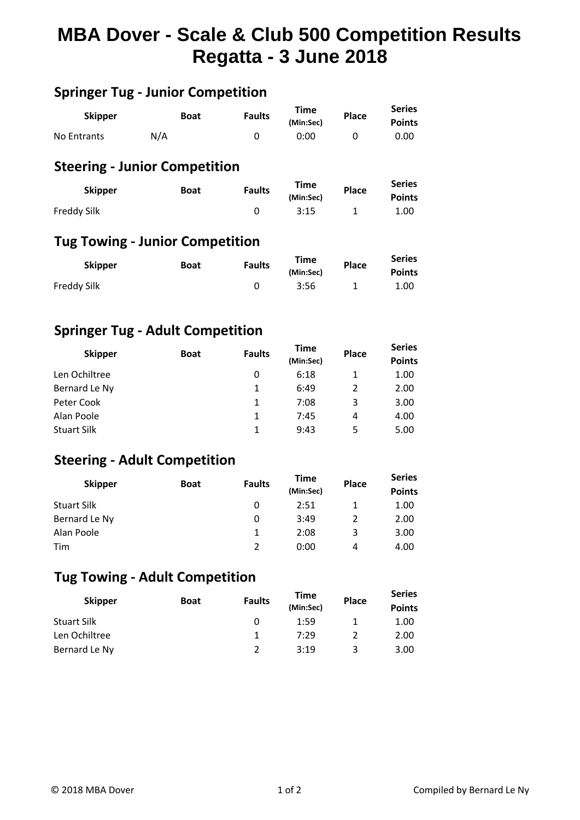# **MBA Dover - Scale & Club 500 Competition Results Regatta - 3 June 2018**

| <b>Skipper</b> | <b>Boat</b> | <b>Faults</b> | Time<br>(Min:Sec) | <b>Place</b> | <b>Series</b><br><b>Points</b> |
|----------------|-------------|---------------|-------------------|--------------|--------------------------------|
| No Entrants    | N/A         |               | 0:00              |              | 0.00                           |

**Springer Tug - Junior Competition**

## **Steering - Junior Competition**

| <b>Skipper</b> | <b>Boat</b> | <b>Faults</b> | Time      | <b>Place</b> | <b>Series</b> |  |
|----------------|-------------|---------------|-----------|--------------|---------------|--|
|                |             |               | (Min:Sec) |              | <b>Points</b> |  |
| Freddy Silk    |             |               | 3:15      |              | 1.00          |  |

### **Tug Towing - Junior Competition**

| <b>Skipper</b> | <b>Boat</b> | <b>Faults</b> | <b>Time</b> | <b>Place</b> | <b>Series</b> |  |
|----------------|-------------|---------------|-------------|--------------|---------------|--|
|                |             |               | (Min:Sec)   |              | <b>Points</b> |  |
| Freddy Silk    |             |               | 3:56        |              | 1.00          |  |

#### **Springer Tug - Adult Competition**

| <b>Skipper</b> | <b>Boat</b> | <b>Faults</b> | <b>Time</b><br>(Min:Sec) | <b>Place</b>  | <b>Series</b><br><b>Points</b> |
|----------------|-------------|---------------|--------------------------|---------------|--------------------------------|
| Len Ochiltree  |             | 0             | 6:18                     |               | 1.00                           |
| Bernard Le Ny  |             | 1             | 6:49                     | $\mathcal{P}$ | 2.00                           |
| Peter Cook     |             | 1             | 7:08                     | 3             | 3.00                           |
| Alan Poole     |             | 1             | 7:45                     | 4             | 4.00                           |
| Stuart Silk    |             |               | 9:43                     | 5             | 5.00                           |

#### **Steering - Adult Competition**

| <b>Skipper</b>     | <b>Boat</b> | <b>Faults</b> | <b>Time</b><br>(Min:Sec) | <b>Place</b> | <b>Series</b><br><b>Points</b> |
|--------------------|-------------|---------------|--------------------------|--------------|--------------------------------|
| <b>Stuart Silk</b> |             | 0             | 2:51                     |              | 1.00                           |
| Bernard Le Ny      |             | 0             | 3:49                     |              | 2.00                           |
| Alan Poole         |             |               | 2:08                     | 3            | 3.00                           |
| Tim                |             | $\mathcal{P}$ | 0:00                     | 4            | 4.00                           |

## **Tug Towing - Adult Competition**

| <b>Skipper</b>     | <b>Boat</b> | <b>Faults</b> | Time<br>(Min:Sec) | <b>Place</b> | <b>Series</b><br><b>Points</b> |
|--------------------|-------------|---------------|-------------------|--------------|--------------------------------|
| <b>Stuart Silk</b> |             | 0             | 1:59              |              | 1.00                           |
| Len Ochiltree      |             |               | 7:29              |              | 2.00                           |
| Bernard Le Ny      |             |               | 3:19              | ર            | 3.00                           |